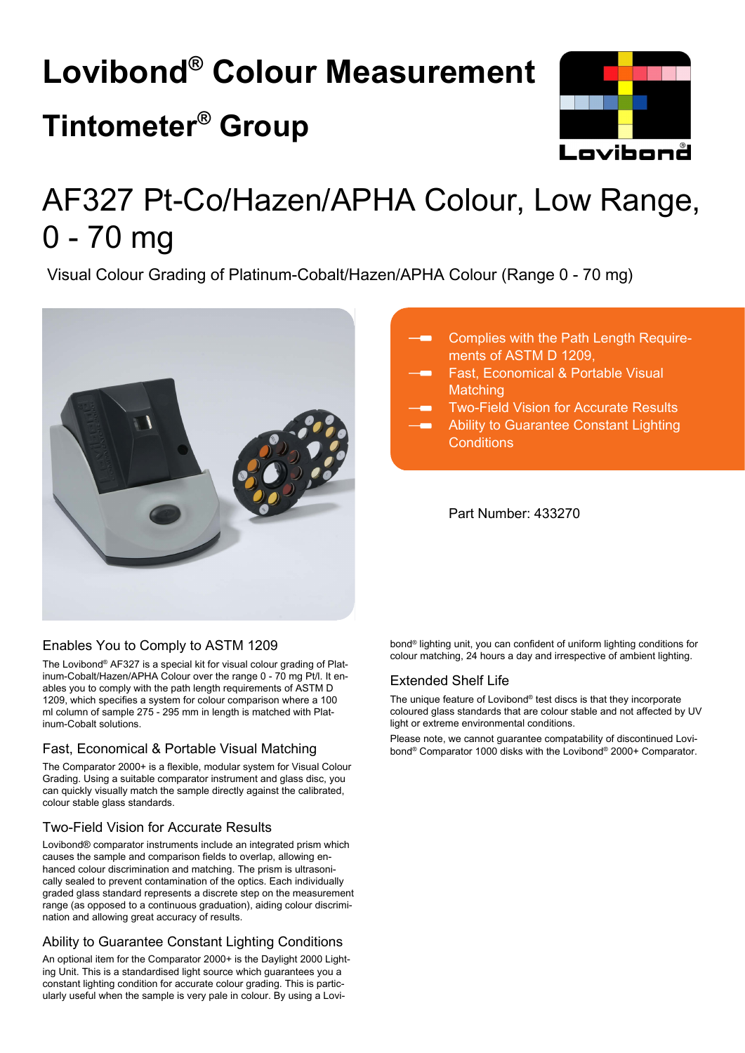# **Lovibond® Colour Measurement Tintometer® Group**



## AF327 Pt-Co/Hazen/APHA Colour, Low Range, 0 - 70 mg

Visual Colour Grading of Platinum-Cobalt/Hazen/APHA Colour (Range 0 - 70 mg)



- Complies with the Path Length Requirements of ASTM D 1209,
- Fast, Economical & Portable Visual **Matching** 
	- Two-Field Vision for Accurate Results
- Ability to Guarantee Constant Lighting **Conditions**

Part Number: 433270

#### Enables You to Comply to ASTM 1209

The Lovibond® AF327 is a special kit for visual colour grading of Platinum-Cobalt/Hazen/APHA Colour over the range 0 - 70 mg Pt/l. It enables you to comply with the path length requirements of ASTM D 1209, which specifies a system for colour comparison where a 100 ml column of sample 275 - 295 mm in length is matched with Platinum-Cobalt solutions.

#### Fast, Economical & Portable Visual Matching

The Comparator 2000+ is a flexible, modular system for Visual Colour Grading. Using a suitable comparator instrument and glass disc, you can quickly visually match the sample directly against the calibrated, colour stable glass standards.

#### Two-Field Vision for Accurate Results

Lovibond® comparator instruments include an integrated prism which causes the sample and comparison fields to overlap, allowing enhanced colour discrimination and matching. The prism is ultrasonically sealed to prevent contamination of the optics. Each individually graded glass standard represents a discrete step on the measurement range (as opposed to a continuous graduation), aiding colour discrimination and allowing great accuracy of results.

#### Ability to Guarantee Constant Lighting Conditions

An optional item for the Comparator 2000+ is the Daylight 2000 Lighting Unit. This is a standardised light source which guarantees you a constant lighting condition for accurate colour grading. This is particularly useful when the sample is very pale in colour. By using a Lovi-

bond® lighting unit, you can confident of uniform lighting conditions for colour matching, 24 hours a day and irrespective of ambient lighting.

#### Extended Shelf Life

The unique feature of Lovibond® test discs is that they incorporate coloured glass standards that are colour stable and not affected by UV light or extreme environmental conditions.

Please note, we cannot guarantee compatability of discontinued Lovibond® Comparator 1000 disks with the Lovibond® 2000+ Comparator.